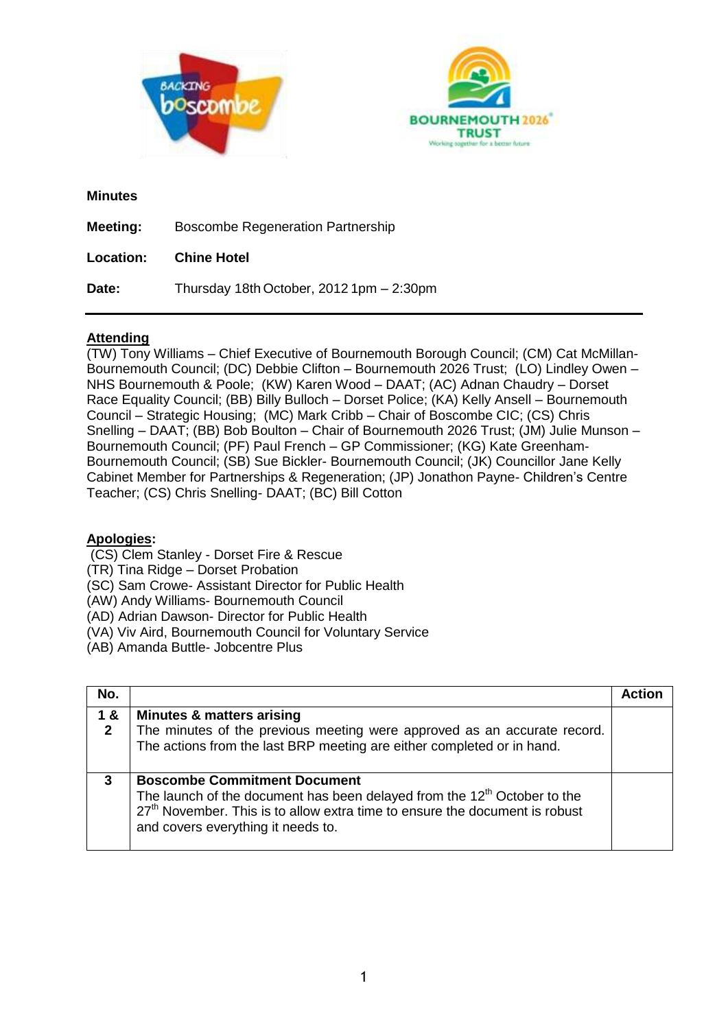



## **Minutes**

| Meeting:         | <b>Boscombe Regeneration Partnership</b> |
|------------------|------------------------------------------|
| <b>Location:</b> | <b>Chine Hotel</b>                       |
| Date:            | Thursday 18th October, 2012 1pm - 2:30pm |

# **Attending**

(TW) Tony Williams – Chief Executive of Bournemouth Borough Council; (CM) Cat McMillan-Bournemouth Council; (DC) Debbie Clifton – Bournemouth 2026 Trust; (LO) Lindley Owen – NHS Bournemouth & Poole; (KW) Karen Wood – DAAT; (AC) Adnan Chaudry – Dorset Race Equality Council; (BB) Billy Bulloch – Dorset Police; (KA) Kelly Ansell – Bournemouth Council – Strategic Housing; (MC) Mark Cribb – Chair of Boscombe CIC; (CS) Chris Snelling – DAAT; (BB) Bob Boulton – Chair of Bournemouth 2026 Trust; (JM) Julie Munson – Bournemouth Council; (PF) Paul French – GP Commissioner; (KG) Kate Greenham-Bournemouth Council; (SB) Sue Bickler- Bournemouth Council; (JK) Councillor Jane Kelly Cabinet Member for Partnerships & Regeneration; (JP) Jonathon Payne- Children's Centre Teacher; (CS) Chris Snelling- DAAT; (BC) Bill Cotton

## **Apologies:**

- (CS) Clem Stanley Dorset Fire & Rescue
- (TR) Tina Ridge Dorset Probation
- (SC) Sam Crowe- Assistant Director for Public Health
- (AW) Andy Williams- Bournemouth Council
- (AD) Adrian Dawson- Director for Public Health
- (VA) Viv Aird, Bournemouth Council for Voluntary Service
- (AB) Amanda Buttle- Jobcentre Plus

| No.                |                                                                                                                                                                                                                                                              | Actio |
|--------------------|--------------------------------------------------------------------------------------------------------------------------------------------------------------------------------------------------------------------------------------------------------------|-------|
| 1&<br>$\mathbf{2}$ | <b>Minutes &amp; matters arising</b><br>The minutes of the previous meeting were approved as an accurate record.<br>The actions from the last BRP meeting are either completed or in hand.                                                                   |       |
| 3                  | <b>Boscombe Commitment Document</b><br>The launch of the document has been delayed from the 12 <sup>th</sup> October to the<br>27 <sup>th</sup> November. This is to allow extra time to ensure the document is robust<br>and covers everything it needs to. |       |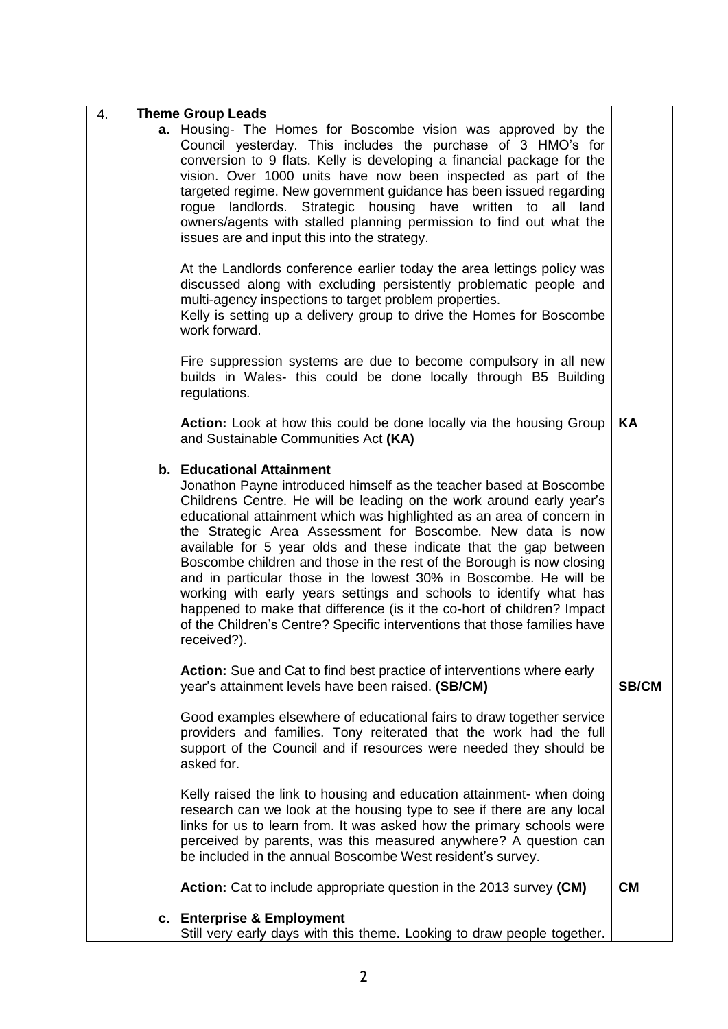| 4. | <b>Theme Group Leads</b>                                                                                                                                                                                                                                                                                                                                                                                                                                                                                                                                                                                                                                                                                                                                                        |              |
|----|---------------------------------------------------------------------------------------------------------------------------------------------------------------------------------------------------------------------------------------------------------------------------------------------------------------------------------------------------------------------------------------------------------------------------------------------------------------------------------------------------------------------------------------------------------------------------------------------------------------------------------------------------------------------------------------------------------------------------------------------------------------------------------|--------------|
|    | <b>a.</b> Housing- The Homes for Boscombe vision was approved by the<br>Council yesterday. This includes the purchase of 3 HMO's for<br>conversion to 9 flats. Kelly is developing a financial package for the<br>vision. Over 1000 units have now been inspected as part of the<br>targeted regime. New government guidance has been issued regarding<br>rogue landlords. Strategic housing have written to all land<br>owners/agents with stalled planning permission to find out what the<br>issues are and input this into the strategy.                                                                                                                                                                                                                                    |              |
|    | At the Landlords conference earlier today the area lettings policy was<br>discussed along with excluding persistently problematic people and<br>multi-agency inspections to target problem properties.<br>Kelly is setting up a delivery group to drive the Homes for Boscombe<br>work forward.                                                                                                                                                                                                                                                                                                                                                                                                                                                                                 |              |
|    | Fire suppression systems are due to become compulsory in all new<br>builds in Wales- this could be done locally through B5 Building<br>regulations.                                                                                                                                                                                                                                                                                                                                                                                                                                                                                                                                                                                                                             |              |
|    | Action: Look at how this could be done locally via the housing Group<br>and Sustainable Communities Act (KA)                                                                                                                                                                                                                                                                                                                                                                                                                                                                                                                                                                                                                                                                    | KA           |
|    | b. Educational Attainment<br>Jonathon Payne introduced himself as the teacher based at Boscombe<br>Childrens Centre. He will be leading on the work around early year's<br>educational attainment which was highlighted as an area of concern in<br>the Strategic Area Assessment for Boscombe. New data is now<br>available for 5 year olds and these indicate that the gap between<br>Boscombe children and those in the rest of the Borough is now closing<br>and in particular those in the lowest 30% in Boscombe. He will be<br>working with early years settings and schools to identify what has<br>happened to make that difference (is it the co-hort of children? Impact<br>of the Children's Centre? Specific interventions that those families have<br>received?). |              |
|    | Action: Sue and Cat to find best practice of interventions where early<br>year's attainment levels have been raised. (SB/CM)                                                                                                                                                                                                                                                                                                                                                                                                                                                                                                                                                                                                                                                    | <b>SB/CM</b> |
|    | Good examples elsewhere of educational fairs to draw together service<br>providers and families. Tony reiterated that the work had the full<br>support of the Council and if resources were needed they should be<br>asked for.                                                                                                                                                                                                                                                                                                                                                                                                                                                                                                                                                 |              |
|    | Kelly raised the link to housing and education attainment- when doing<br>research can we look at the housing type to see if there are any local<br>links for us to learn from. It was asked how the primary schools were<br>perceived by parents, was this measured anywhere? A question can<br>be included in the annual Boscombe West resident's survey.                                                                                                                                                                                                                                                                                                                                                                                                                      |              |
|    | <b>Action:</b> Cat to include appropriate question in the 2013 survey (CM)                                                                                                                                                                                                                                                                                                                                                                                                                                                                                                                                                                                                                                                                                                      | <b>CM</b>    |
|    | c. Enterprise & Employment<br>Still very early days with this theme. Looking to draw people together.                                                                                                                                                                                                                                                                                                                                                                                                                                                                                                                                                                                                                                                                           |              |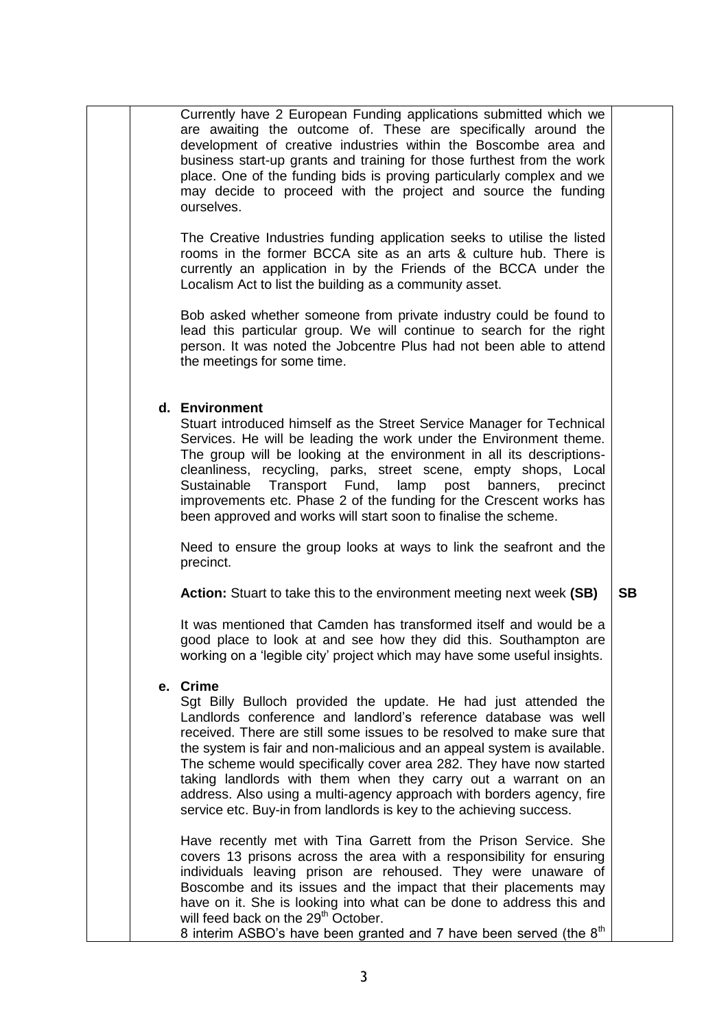Currently have 2 European Funding applications submitted which we are awaiting the outcome of. These are specifically around the development of creative industries within the Boscombe area and business start-up grants and training for those furthest from the work place. One of the funding bids is proving particularly complex and we may decide to proceed with the project and source the funding ourselves.

The Creative Industries funding application seeks to utilise the listed rooms in the former BCCA site as an arts & culture hub. There is currently an application in by the Friends of the BCCA under the Localism Act to list the building as a community asset.

Bob asked whether someone from private industry could be found to lead this particular group. We will continue to search for the right person. It was noted the Jobcentre Plus had not been able to attend the meetings for some time.

## **d. Environment**

Stuart introduced himself as the Street Service Manager for Technical Services. He will be leading the work under the Environment theme. The group will be looking at the environment in all its descriptionscleanliness, recycling, parks, street scene, empty shops, Local Sustainable Transport Fund, lamp post banners, precinct improvements etc. Phase 2 of the funding for the Crescent works has been approved and works will start soon to finalise the scheme.

Need to ensure the group looks at ways to link the seafront and the precinct.

**Action:** Stuart to take this to the environment meeting next week **(SB) SB**

It was mentioned that Camden has transformed itself and would be a good place to look at and see how they did this. Southampton are working on a 'legible city' project which may have some useful insights.

## **e. Crime**

Sgt Billy Bulloch provided the update. He had just attended the Landlords conference and landlord's reference database was well received. There are still some issues to be resolved to make sure that the system is fair and non-malicious and an appeal system is available. The scheme would specifically cover area 282. They have now started taking landlords with them when they carry out a warrant on an address. Also using a multi-agency approach with borders agency, fire service etc. Buy-in from landlords is key to the achieving success.

Have recently met with Tina Garrett from the Prison Service. She covers 13 prisons across the area with a responsibility for ensuring individuals leaving prison are rehoused. They were unaware of Boscombe and its issues and the impact that their placements may have on it. She is looking into what can be done to address this and will feed back on the 29<sup>th</sup> October. 8 interim ASBO's have been granted and 7 have been served (the  $8<sup>th</sup>$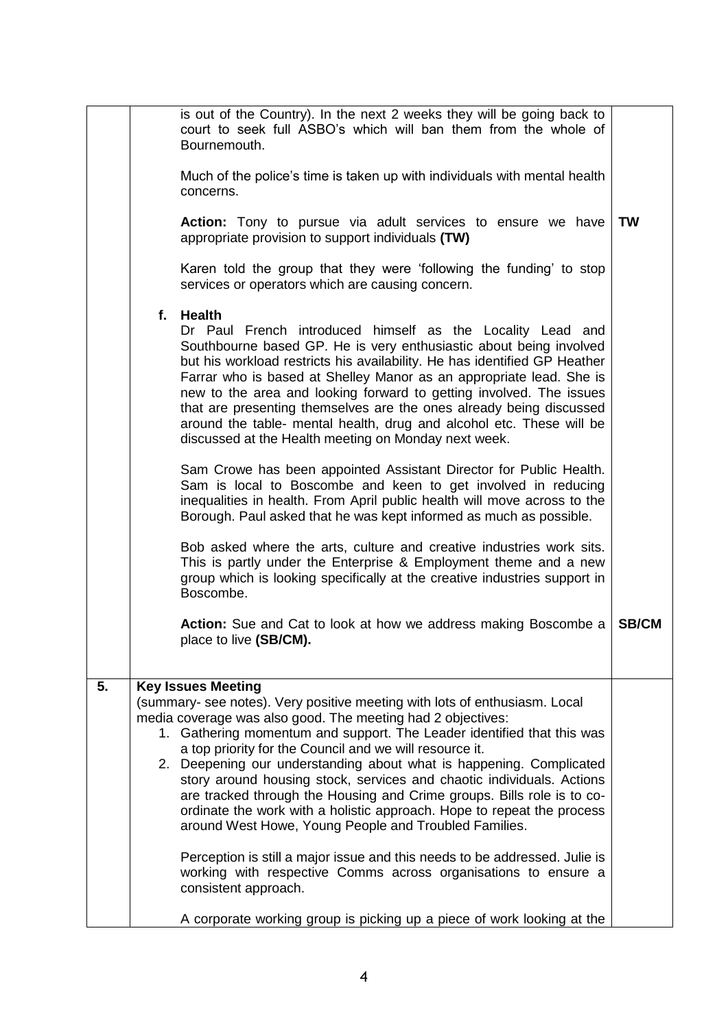|    | is out of the Country). In the next 2 weeks they will be going back to<br>court to seek full ASBO's which will ban them from the whole of<br>Bournemouth.<br>Much of the police's time is taken up with individuals with mental health<br>concerns.<br>Action: Tony to pursue via adult services to ensure we have<br>appropriate provision to support individuals (TW)<br>Karen told the group that they were 'following the funding' to stop<br>services or operators which are causing concern.<br>f. Health<br>Dr Paul French introduced himself as the Locality Lead and<br>Southbourne based GP. He is very enthusiastic about being involved<br>but his workload restricts his availability. He has identified GP Heather<br>Farrar who is based at Shelley Manor as an appropriate lead. She is<br>new to the area and looking forward to getting involved. The issues<br>that are presenting themselves are the ones already being discussed<br>around the table- mental health, drug and alcohol etc. These will be<br>discussed at the Health meeting on Monday next week.<br>Sam Crowe has been appointed Assistant Director for Public Health.<br>Sam is local to Boscombe and keen to get involved in reducing<br>inequalities in health. From April public health will move across to the<br>Borough. Paul asked that he was kept informed as much as possible.<br>Bob asked where the arts, culture and creative industries work sits.<br>This is partly under the Enterprise & Employment theme and a new<br>group which is looking specifically at the creative industries support in | <b>TW</b>    |
|----|---------------------------------------------------------------------------------------------------------------------------------------------------------------------------------------------------------------------------------------------------------------------------------------------------------------------------------------------------------------------------------------------------------------------------------------------------------------------------------------------------------------------------------------------------------------------------------------------------------------------------------------------------------------------------------------------------------------------------------------------------------------------------------------------------------------------------------------------------------------------------------------------------------------------------------------------------------------------------------------------------------------------------------------------------------------------------------------------------------------------------------------------------------------------------------------------------------------------------------------------------------------------------------------------------------------------------------------------------------------------------------------------------------------------------------------------------------------------------------------------------------------------------------------------------------------------------------------------------------|--------------|
|    | Boscombe.<br><b>Action:</b> Sue and Cat to look at how we address making Boscombe a<br>place to live (SB/CM).                                                                                                                                                                                                                                                                                                                                                                                                                                                                                                                                                                                                                                                                                                                                                                                                                                                                                                                                                                                                                                                                                                                                                                                                                                                                                                                                                                                                                                                                                           | <b>SB/CM</b> |
| 5. | <b>Key Issues Meeting</b><br>(summary- see notes). Very positive meeting with lots of enthusiasm. Local<br>media coverage was also good. The meeting had 2 objectives:<br>1. Gathering momentum and support. The Leader identified that this was<br>a top priority for the Council and we will resource it.<br>2. Deepening our understanding about what is happening. Complicated<br>story around housing stock, services and chaotic individuals. Actions<br>are tracked through the Housing and Crime groups. Bills role is to co-<br>ordinate the work with a holistic approach. Hope to repeat the process<br>around West Howe, Young People and Troubled Families.<br>Perception is still a major issue and this needs to be addressed. Julie is<br>working with respective Comms across organisations to ensure a<br>consistent approach.<br>A corporate working group is picking up a piece of work looking at the                                                                                                                                                                                                                                                                                                                                                                                                                                                                                                                                                                                                                                                                              |              |